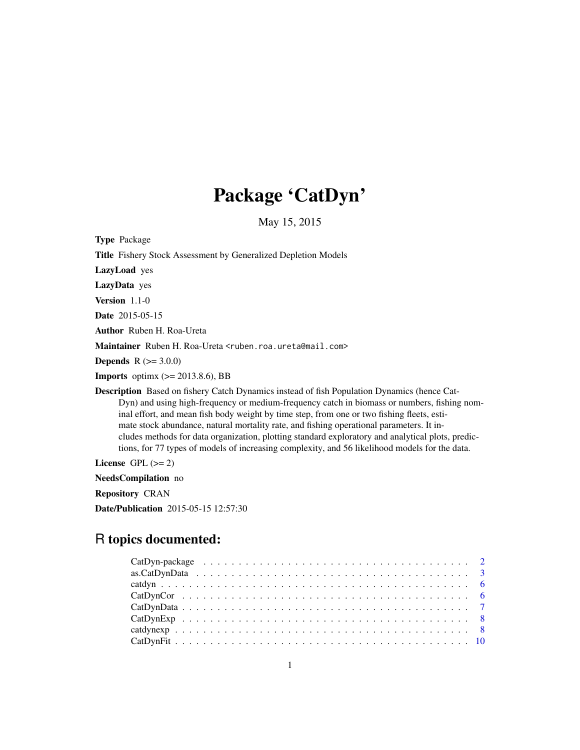# Package 'CatDyn'

May 15, 2015

Type Package Title Fishery Stock Assessment by Generalized Depletion Models LazyLoad yes LazyData yes Version 1.1-0 Date 2015-05-15 Author Ruben H. Roa-Ureta Maintainer Ruben H. Roa-Ureta <ruben.roa.ureta@mail.com> **Depends** R  $(>= 3.0.0)$ **Imports** optimx  $(>= 2013.8.6)$ , BB Description Based on fishery Catch Dynamics instead of fish Population Dynamics (hence Cat-Dyn) and using high-frequency or medium-frequency catch in biomass or numbers, fishing nominal effort, and mean fish body weight by time step, from one or two fishing fleets, estimate stock abundance, natural mortality rate, and fishing operational parameters. It includes methods for data organization, plotting standard exploratory and analytical plots, predictions, for 77 types of models of increasing complexity, and 56 likelihood models for the data. License GPL  $(>= 2)$ 

NeedsCompilation no

Repository CRAN

Date/Publication 2015-05-15 12:57:30

# R topics documented: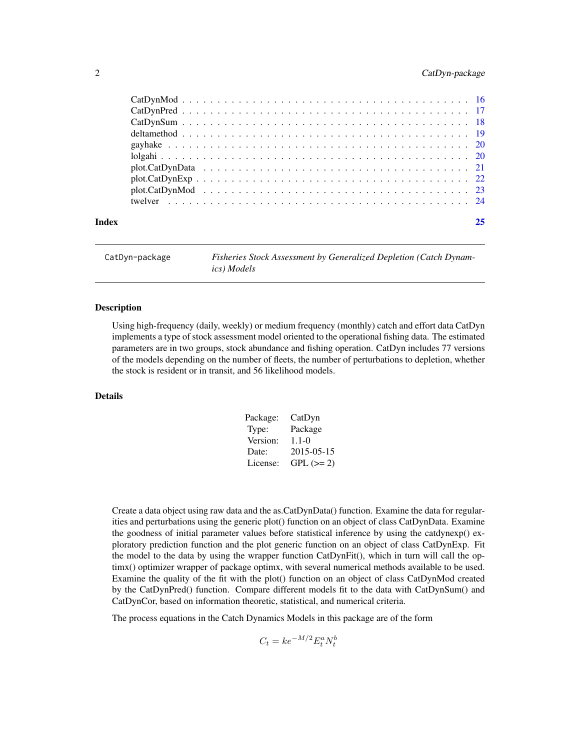# <span id="page-1-0"></span>2 CatDyn-package

| 25                 |
|--------------------|
|                    |
|                    |
|                    |
|                    |
|                    |
|                    |
|                    |
|                    |
|                    |
|                    |
| $plot.CatDynExp22$ |

CatDyn-package *Fisheries Stock Assessment by Generalized Depletion (Catch Dynamics) Models*

# **Description**

Using high-frequency (daily, weekly) or medium frequency (monthly) catch and effort data CatDyn implements a type of stock assessment model oriented to the operational fishing data. The estimated parameters are in two groups, stock abundance and fishing operation. CatDyn includes 77 versions of the models depending on the number of fleets, the number of perturbations to depletion, whether the stock is resident or in transit, and 56 likelihood models.

# Details

| Package: | CatDyn      |
|----------|-------------|
| Type:    | Package     |
| Version: | $1.1 - 0$   |
| Date:    | 2015-05-15  |
| License: | $GPL (= 2)$ |

Create a data object using raw data and the as.CatDynData() function. Examine the data for regularities and perturbations using the generic plot() function on an object of class CatDynData. Examine the goodness of initial parameter values before statistical inference by using the catdynexp() exploratory prediction function and the plot generic function on an object of class CatDynExp. Fit the model to the data by using the wrapper function CatDynFit(), which in turn will call the optimx() optimizer wrapper of package optimx, with several numerical methods available to be used. Examine the quality of the fit with the plot() function on an object of class CatDynMod created by the CatDynPred() function. Compare different models fit to the data with CatDynSum() and CatDynCor, based on information theoretic, statistical, and numerical criteria.

The process equations in the Catch Dynamics Models in this package are of the form

 $C_t = ke^{-M/2} E_t^a N_t^b$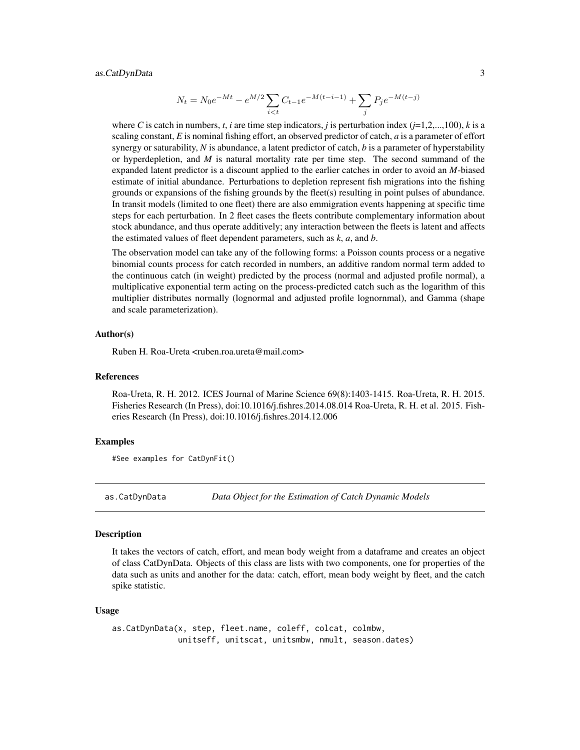# <span id="page-2-0"></span>as.CatDynData 3

$$
N_t = N_0 e^{-Mt} - e^{M/2} \sum_{i < t} C_{t-1} e^{-M(t-i-1)} + \sum_j P_j e^{-M(t-j)}
$$

where C is catch in numbers,  $t$ , *i* are time step indicators, *j* is perturbation index ( $j=1,2,...,100$ ),  $k$  is a scaling constant, *E* is nominal fishing effort, an observed predictor of catch, *a* is a parameter of effort synergy or saturability, *N* is abundance, a latent predictor of catch, *b* is a parameter of hyperstability or hyperdepletion, and *M* is natural mortality rate per time step. The second summand of the expanded latent predictor is a discount applied to the earlier catches in order to avoid an *M*-biased estimate of initial abundance. Perturbations to depletion represent fish migrations into the fishing grounds or expansions of the fishing grounds by the fleet(s) resulting in point pulses of abundance. In transit models (limited to one fleet) there are also emmigration events happening at specific time steps for each perturbation. In 2 fleet cases the fleets contribute complementary information about stock abundance, and thus operate additively; any interaction between the fleets is latent and affects the estimated values of fleet dependent parameters, such as *k*, *a*, and *b*.

The observation model can take any of the following forms: a Poisson counts process or a negative binomial counts process for catch recorded in numbers, an additive random normal term added to the continuous catch (in weight) predicted by the process (normal and adjusted profile normal), a multiplicative exponential term acting on the process-predicted catch such as the logarithm of this multiplier distributes normally (lognormal and adjusted profile lognornmal), and Gamma (shape and scale parameterization).

#### Author(s)

Ruben H. Roa-Ureta <ruben.roa.ureta@mail.com>

#### References

Roa-Ureta, R. H. 2012. ICES Journal of Marine Science 69(8):1403-1415. Roa-Ureta, R. H. 2015. Fisheries Research (In Press), doi:10.1016/j.fishres.2014.08.014 Roa-Ureta, R. H. et al. 2015. Fisheries Research (In Press), doi:10.1016/j.fishres.2014.12.006

#### Examples

#See examples for CatDynFit()

as.CatDynData *Data Object for the Estimation of Catch Dynamic Models*

#### **Description**

It takes the vectors of catch, effort, and mean body weight from a dataframe and creates an object of class CatDynData. Objects of this class are lists with two components, one for properties of the data such as units and another for the data: catch, effort, mean body weight by fleet, and the catch spike statistic.

#### Usage

```
as.CatDynData(x, step, fleet.name, coleff, colcat, colmbw,
             unitseff, unitscat, unitsmbw, nmult, season.dates)
```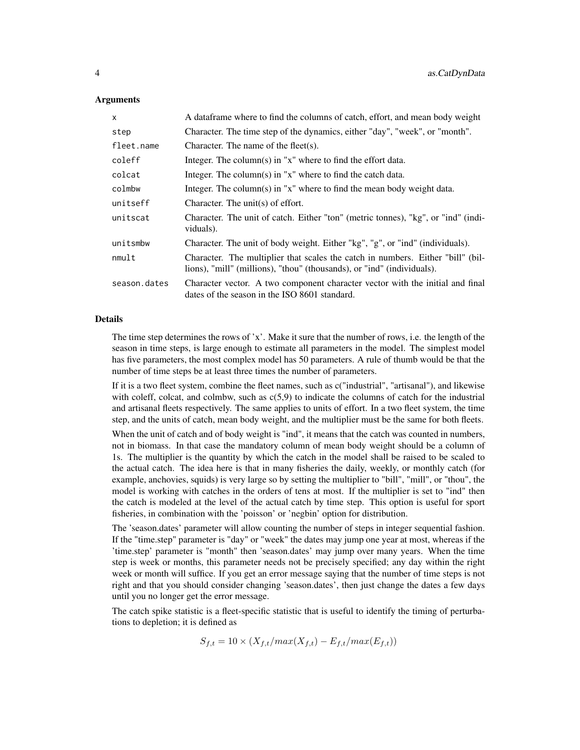# Arguments

| X            | A data frame where to find the columns of catch, effort, and mean body weight                                                                             |
|--------------|-----------------------------------------------------------------------------------------------------------------------------------------------------------|
| step         | Character. The time step of the dynamics, either "day", "week", or "month".                                                                               |
| fleet.name   | Character. The name of the fleet $(s)$ .                                                                                                                  |
| coleff       | Integer. The column(s) in " $x$ " where to find the effort data.                                                                                          |
| colcat       | Integer. The column(s) in " $x$ " where to find the catch data.                                                                                           |
| colmbw       | Integer. The column(s) in " $x$ " where to find the mean body weight data.                                                                                |
| unitseff     | Character. The unit(s) of effort.                                                                                                                         |
| unitscat     | Character. The unit of catch. Either "ton" (metric tonnes), "kg", or "ind" (indi-<br>viduals).                                                            |
| unitsmbw     | Character. The unit of body weight. Either "kg", "g", or "ind" (individuals).                                                                             |
| nmult        | Character. The multiplier that scales the catch in numbers. Either "bill" (bil-<br>lions), "mill" (millions), "thou" (thousands), or "ind" (individuals). |
| season.dates | Character vector. A two component character vector with the initial and final<br>dates of the season in the ISO 8601 standard.                            |

#### Details

The time step determines the rows of 'x'. Make it sure that the number of rows, i.e. the length of the season in time steps, is large enough to estimate all parameters in the model. The simplest model has five parameters, the most complex model has 50 parameters. A rule of thumb would be that the number of time steps be at least three times the number of parameters.

If it is a two fleet system, combine the fleet names, such as c("industrial", "artisanal"), and likewise with coleff, colcat, and colmbw, such as  $c(5.9)$  to indicate the columns of catch for the industrial and artisanal fleets respectively. The same applies to units of effort. In a two fleet system, the time step, and the units of catch, mean body weight, and the multiplier must be the same for both fleets.

When the unit of catch and of body weight is "ind", it means that the catch was counted in numbers, not in biomass. In that case the mandatory column of mean body weight should be a column of 1s. The multiplier is the quantity by which the catch in the model shall be raised to be scaled to the actual catch. The idea here is that in many fisheries the daily, weekly, or monthly catch (for example, anchovies, squids) is very large so by setting the multiplier to "bill", "mill", or "thou", the model is working with catches in the orders of tens at most. If the multiplier is set to "ind" then the catch is modeled at the level of the actual catch by time step. This option is useful for sport fisheries, in combination with the 'poisson' or 'negbin' option for distribution.

The 'season.dates' parameter will allow counting the number of steps in integer sequential fashion. If the "time.step" parameter is "day" or "week" the dates may jump one year at most, whereas if the 'time.step' parameter is "month" then 'season.dates' may jump over many years. When the time step is week or months, this parameter needs not be precisely specified; any day within the right week or month will suffice. If you get an error message saying that the number of time steps is not right and that you should consider changing 'season.dates', then just change the dates a few days until you no longer get the error message.

The catch spike statistic is a fleet-specific statistic that is useful to identify the timing of perturbations to depletion; it is defined as

$$
S_{f,t} = 10 \times (X_{f,t}/max(X_{f,t}) - E_{f,t}/max(E_{f,t}))
$$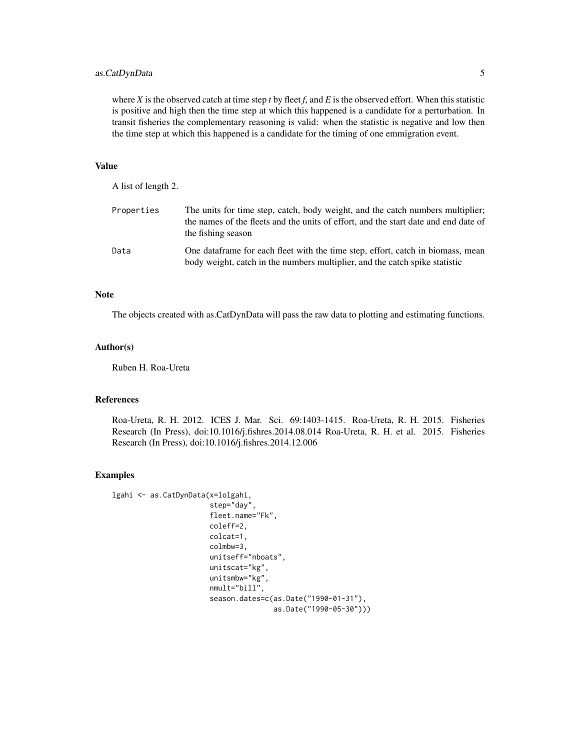# as.CatDynData 5

where  $X$  is the observed catch at time step  $t$  by fleet  $f$ , and  $E$  is the observed effort. When this statistic is positive and high then the time step at which this happened is a candidate for a perturbation. In transit fisheries the complementary reasoning is valid: when the statistic is negative and low then the time step at which this happened is a candidate for the timing of one emmigration event.

# Value

| A list of length 2. |                                                                                                                                                                                             |
|---------------------|---------------------------------------------------------------------------------------------------------------------------------------------------------------------------------------------|
| Properties          | The units for time step, catch, body weight, and the catch numbers multiplier;<br>the names of the fleets and the units of effort, and the start date and end date of<br>the fishing season |
| Data                | One data frame for each fleet with the time step, effort, catch in biomass, mean<br>body weight, catch in the numbers multiplier, and the catch spike statistic                             |

#### Note

The objects created with as.CatDynData will pass the raw data to plotting and estimating functions.

#### Author(s)

Ruben H. Roa-Ureta

# References

Roa-Ureta, R. H. 2012. ICES J. Mar. Sci. 69:1403-1415. Roa-Ureta, R. H. 2015. Fisheries Research (In Press), doi:10.1016/j.fishres.2014.08.014 Roa-Ureta, R. H. et al. 2015. Fisheries Research (In Press), doi:10.1016/j.fishres.2014.12.006

#### Examples

```
lgahi <- as.CatDynData(x=lolgahi,
                       step="day",
                       fleet.name="Fk",
                       coleff=2,
                       colcat=1,
                       colmbw=3,
                       unitseff="nboats",
                       unitscat="kg",
                       unitsmbw="kg",
                       nmult="bill",
                       season.dates=c(as.Date("1990-01-31"),
                                       as.Date("1990-05-30")))
```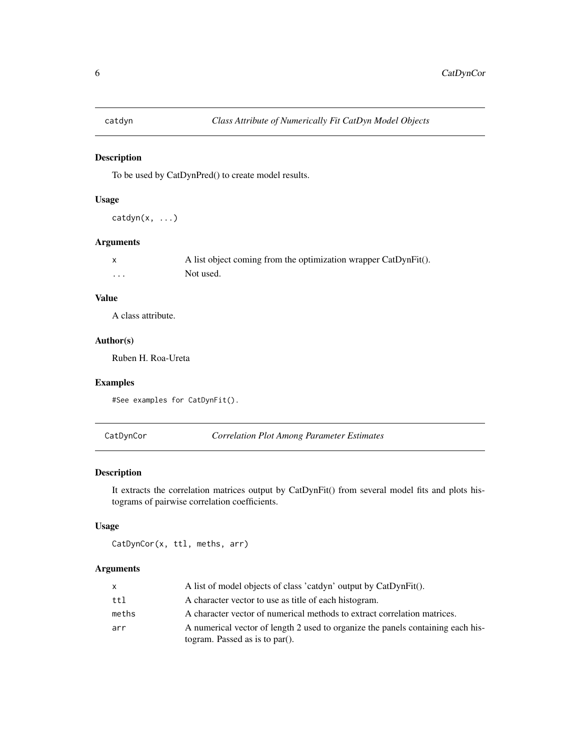<span id="page-5-0"></span>

# Description

To be used by CatDynPred() to create model results.

#### Usage

catdyn(x, ...)

# Arguments

|          | A list object coming from the optimization wrapper CatDynFit(). |
|----------|-----------------------------------------------------------------|
| $\cdots$ | Not used.                                                       |

# Value

A class attribute.

# Author(s)

Ruben H. Roa-Ureta

#### Examples

```
#See examples for CatDynFit().
```
CatDynCor *Correlation Plot Among Parameter Estimates*

# Description

It extracts the correlation matrices output by CatDynFit() from several model fits and plots histograms of pairwise correlation coefficients.

# Usage

CatDynCor(x, ttl, meths, arr)

# Arguments

| x.    | A list of model objects of class 'catdyn' output by CatDynFit().                                                  |
|-------|-------------------------------------------------------------------------------------------------------------------|
| ttl   | A character vector to use as title of each histogram.                                                             |
| meths | A character vector of numerical methods to extract correlation matrices.                                          |
| arr   | A numerical vector of length 2 used to organize the panels containing each his-<br>togram. Passed as is to par(). |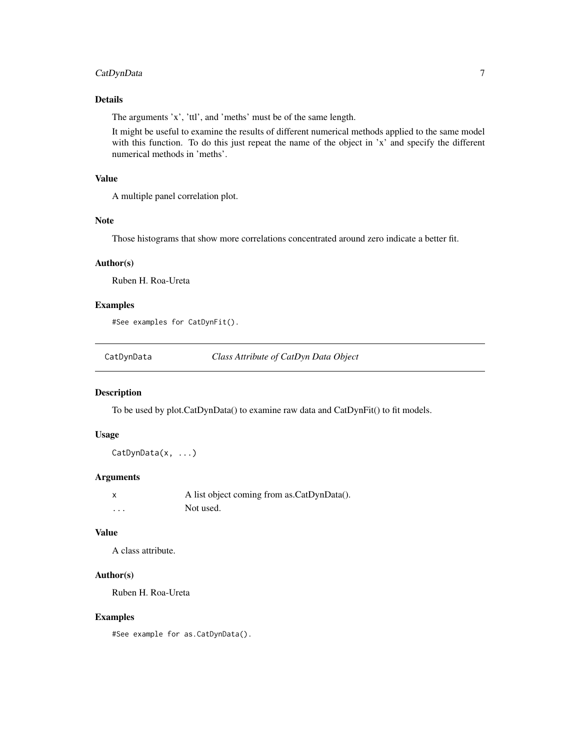# <span id="page-6-0"></span>CatDynData 7

# Details

The arguments 'x', 'ttl', and 'meths' must be of the same length.

It might be useful to examine the results of different numerical methods applied to the same model with this function. To do this just repeat the name of the object in 'x' and specify the different numerical methods in 'meths'.

# Value

A multiple panel correlation plot.

# Note

Those histograms that show more correlations concentrated around zero indicate a better fit.

#### Author(s)

Ruben H. Roa-Ureta

#### Examples

#See examples for CatDynFit().

CatDynData *Class Attribute of CatDyn Data Object*

#### Description

To be used by plot.CatDynData() to examine raw data and CatDynFit() to fit models.

#### Usage

CatDynData(x, ...)

### Arguments

|   | A list object coming from as CatDynData(). |
|---|--------------------------------------------|
| . | Not used.                                  |

#### Value

A class attribute.

#### Author(s)

Ruben H. Roa-Ureta

#### Examples

#See example for as.CatDynData().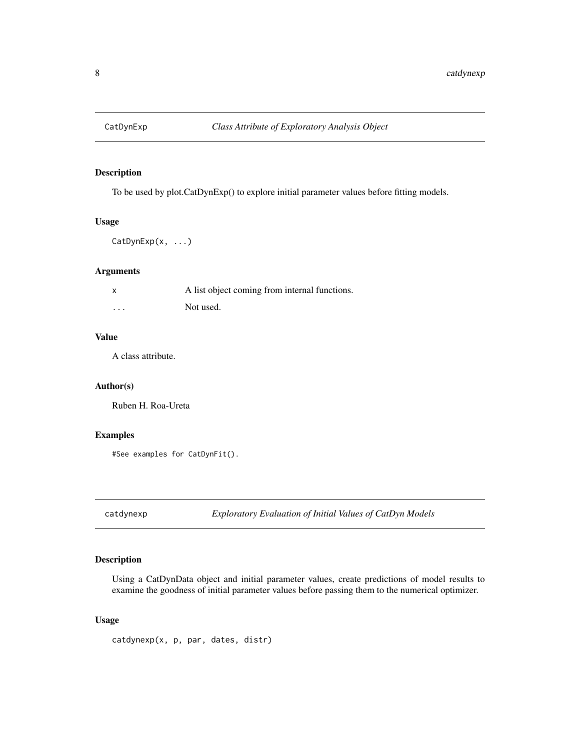<span id="page-7-0"></span>

# Description

To be used by plot.CatDynExp() to explore initial parameter values before fitting models.

#### Usage

CatDynExp(x, ...)

# Arguments

|          | A list object coming from internal functions. |
|----------|-----------------------------------------------|
| $\cdots$ | Not used.                                     |

#### Value

A class attribute.

# Author(s)

Ruben H. Roa-Ureta

#### Examples

#See examples for CatDynFit().

catdynexp *Exploratory Evaluation of Initial Values of CatDyn Models*

# Description

Using a CatDynData object and initial parameter values, create predictions of model results to examine the goodness of initial parameter values before passing them to the numerical optimizer.

# Usage

catdynexp(x, p, par, dates, distr)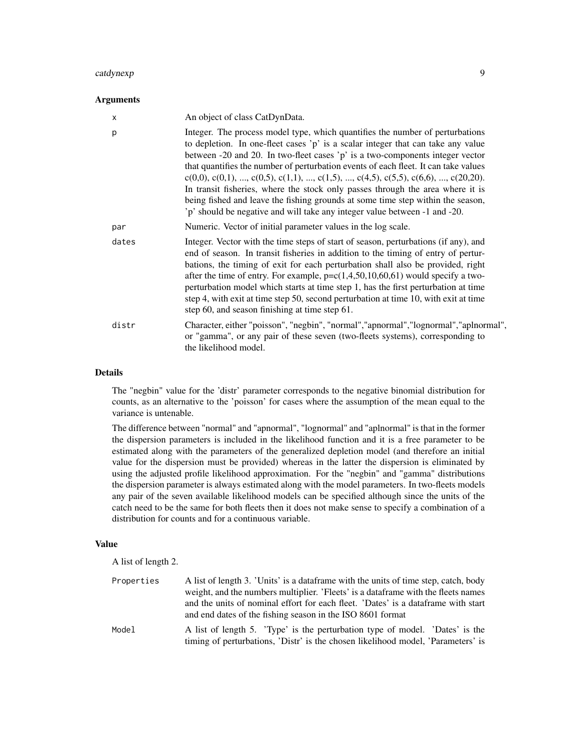#### catdynexp 9 and 2008 and 2008 and 2008 and 2008 and 2008 and 2008 and 2008 and 2008 and 2008 and 2008 and 2008

#### Arguments

| х     | An object of class CatDynData.                                                                                                                                                                                                                                                                                                                                                                                                                                                                                                                                                                                                                                                      |
|-------|-------------------------------------------------------------------------------------------------------------------------------------------------------------------------------------------------------------------------------------------------------------------------------------------------------------------------------------------------------------------------------------------------------------------------------------------------------------------------------------------------------------------------------------------------------------------------------------------------------------------------------------------------------------------------------------|
| p     | Integer. The process model type, which quantifies the number of perturbations<br>to depletion. In one-fleet cases 'p' is a scalar integer that can take any value<br>between -20 and 20. In two-fleet cases 'p' is a two-components integer vector<br>that quantifies the number of perturbation events of each fleet. It can take values<br>$c(0,0), c(0,1), , c(0,5), c(1,1), , c(1,5), , c(4,5), c(5,5), c(6,6), , c(20,20).$<br>In transit fisheries, where the stock only passes through the area where it is<br>being fished and leave the fishing grounds at some time step within the season,<br>'p' should be negative and will take any integer value between -1 and -20. |
| par   | Numeric. Vector of initial parameter values in the log scale.                                                                                                                                                                                                                                                                                                                                                                                                                                                                                                                                                                                                                       |
| dates | Integer. Vector with the time steps of start of season, perturbations (if any), and<br>end of season. In transit fisheries in addition to the timing of entry of pertur-<br>bations, the timing of exit for each perturbation shall also be provided, right<br>after the time of entry. For example, $p = c(1, 4, 50, 10, 60, 61)$ would specify a two-<br>perturbation model which starts at time step 1, has the first perturbation at time<br>step 4, with exit at time step 50, second perturbation at time 10, with exit at time<br>step 60, and season finishing at time step 61.                                                                                             |
| distr | Character, either "poisson", "negbin", "normal", "apnormal", "lognormal", "aplnormal",<br>or "gamma", or any pair of these seven (two-fleets systems), corresponding to<br>the likelihood model.                                                                                                                                                                                                                                                                                                                                                                                                                                                                                    |

#### Details

The "negbin" value for the 'distr' parameter corresponds to the negative binomial distribution for counts, as an alternative to the 'poisson' for cases where the assumption of the mean equal to the variance is untenable.

The difference between "normal" and "apnormal", "lognormal" and "aplnormal" is that in the former the dispersion parameters is included in the likelihood function and it is a free parameter to be estimated along with the parameters of the generalized depletion model (and therefore an initial value for the dispersion must be provided) whereas in the latter the dispersion is eliminated by using the adjusted profile likelihood approximation. For the "negbin" and "gamma" distributions the dispersion parameter is always estimated along with the model parameters. In two-fleets models any pair of the seven available likelihood models can be specified although since the units of the catch need to be the same for both fleets then it does not make sense to specify a combination of a distribution for counts and for a continuous variable.

# Value

A list of length 2.

| Properties | A list of length 3. 'Units' is a data frame with the units of time step, catch, body<br>weight, and the numbers multiplier. 'Fleets' is a data frame with the fleets names<br>and the units of nominal effort for each fleet. 'Dates' is a data frame with start<br>and end dates of the fishing season in the ISO 8601 format |
|------------|--------------------------------------------------------------------------------------------------------------------------------------------------------------------------------------------------------------------------------------------------------------------------------------------------------------------------------|
| Model      | A list of length 5. Type' is the perturbation type of model. 'Dates' is the<br>timing of perturbations, 'Distr' is the chosen likelihood model, 'Parameters' is                                                                                                                                                                |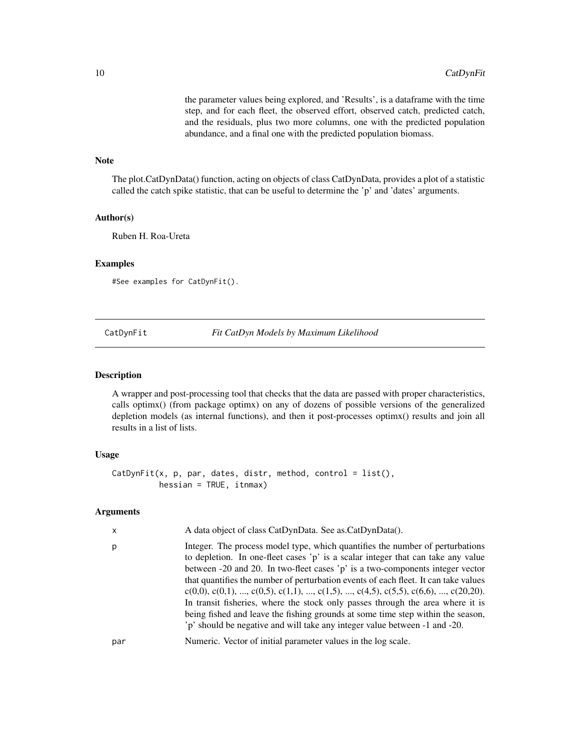the parameter values being explored, and 'Results', is a dataframe with the time step, and for each fleet, the observed effort, observed catch, predicted catch, and the residuals, plus two more columns, one with the predicted population abundance, and a final one with the predicted population biomass.

# <span id="page-9-0"></span>Note

The plot.CatDynData() function, acting on objects of class CatDynData, provides a plot of a statistic called the catch spike statistic, that can be useful to determine the 'p' and 'dates' arguments.

# Author(s)

Ruben H. Roa-Ureta

#### Examples

#See examples for CatDynFit().

CatDynFit *Fit CatDyn Models by Maximum Likelihood*

# **Description**

A wrapper and post-processing tool that checks that the data are passed with proper characteristics, calls optimx() (from package optimx) on any of dozens of possible versions of the generalized depletion models (as internal functions), and then it post-processes optimx() results and join all results in a list of lists.

#### Usage

```
CatDynFit(x, p, par, dates, distr, method, control = list(),hessian = TRUE, itnmax)
```
#### Arguments

| x   | A data object of class CatDynData. See as.CatDynData().                                                                                                                                                                                                                                                                                                                                                                                                                                                                                                                                                                                                                             |
|-----|-------------------------------------------------------------------------------------------------------------------------------------------------------------------------------------------------------------------------------------------------------------------------------------------------------------------------------------------------------------------------------------------------------------------------------------------------------------------------------------------------------------------------------------------------------------------------------------------------------------------------------------------------------------------------------------|
| р   | Integer. The process model type, which quantifies the number of perturbations<br>to depletion. In one-fleet cases 'p' is a scalar integer that can take any value<br>between -20 and 20. In two-fleet cases 'p' is a two-components integer vector<br>that quantifies the number of perturbation events of each fleet. It can take values<br>$c(0,0), c(0,1), , c(0,5), c(1,1), , c(1,5), , c(4,5), c(5,5), c(6,6), , c(20,20).$<br>In transit fisheries, where the stock only passes through the area where it is<br>being fished and leave the fishing grounds at some time step within the season,<br>'p' should be negative and will take any integer value between -1 and -20. |
| par | Numeric. Vector of initial parameter values in the log scale.                                                                                                                                                                                                                                                                                                                                                                                                                                                                                                                                                                                                                       |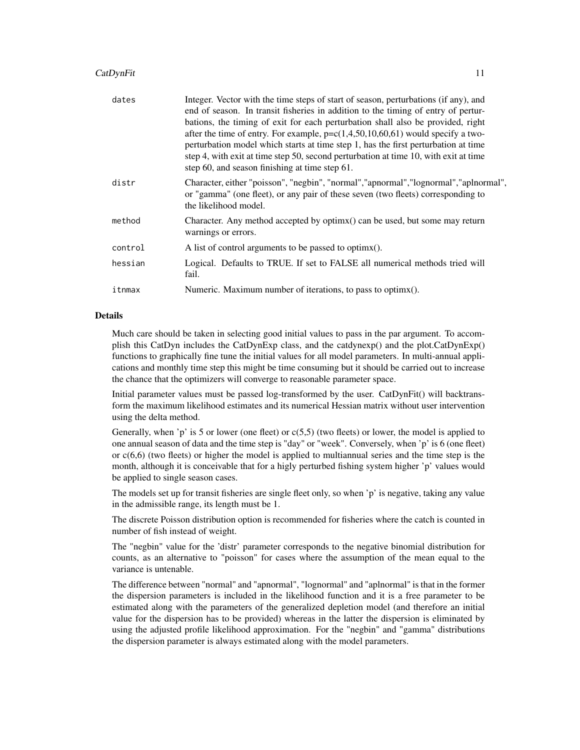# CatDynFit 11

| dates   | Integer. Vector with the time steps of start of season, perturbations (if any), and<br>end of season. In transit fisheries in addition to the timing of entry of pertur-<br>bations, the timing of exit for each perturbation shall also be provided, right<br>after the time of entry. For example, $p = c(1, 4, 50, 10, 60, 61)$ would specify a two-<br>perturbation model which starts at time step 1, has the first perturbation at time<br>step 4, with exit at time step 50, second perturbation at time 10, with exit at time<br>step 60, and season finishing at time step 61. |
|---------|-----------------------------------------------------------------------------------------------------------------------------------------------------------------------------------------------------------------------------------------------------------------------------------------------------------------------------------------------------------------------------------------------------------------------------------------------------------------------------------------------------------------------------------------------------------------------------------------|
| distr   | Character, either "poisson", "negbin", "normal", "apnormal", "lognormal", "aplnormal",<br>or "gamma" (one fleet), or any pair of these seven (two fleets) corresponding to<br>the likelihood model.                                                                                                                                                                                                                                                                                                                                                                                     |
| method  | Character. Any method accepted by optimx() can be used, but some may return<br>warnings or errors.                                                                                                                                                                                                                                                                                                                                                                                                                                                                                      |
| control | A list of control arguments to be passed to optimx().                                                                                                                                                                                                                                                                                                                                                                                                                                                                                                                                   |
| hessian | Logical. Defaults to TRUE. If set to FALSE all numerical methods tried will<br>fail.                                                                                                                                                                                                                                                                                                                                                                                                                                                                                                    |
| itnmax  | Numeric. Maximum number of iterations, to pass to optimx().                                                                                                                                                                                                                                                                                                                                                                                                                                                                                                                             |

#### Details

Much care should be taken in selecting good initial values to pass in the par argument. To accomplish this CatDyn includes the CatDynExp class, and the catdynexp() and the plot.CatDynExp() functions to graphically fine tune the initial values for all model parameters. In multi-annual applications and monthly time step this might be time consuming but it should be carried out to increase the chance that the optimizers will converge to reasonable parameter space.

Initial parameter values must be passed log-transformed by the user. CatDynFit() will backtransform the maximum likelihood estimates and its numerical Hessian matrix without user intervention using the delta method.

Generally, when 'p' is 5 or lower (one fleet) or  $c(5,5)$  (two fleets) or lower, the model is applied to one annual season of data and the time step is "day" or "week". Conversely, when 'p' is 6 (one fleet) or c(6,6) (two fleets) or higher the model is applied to multiannual series and the time step is the month, although it is conceivable that for a higly perturbed fishing system higher 'p' values would be applied to single season cases.

The models set up for transit fisheries are single fleet only, so when 'p' is negative, taking any value in the admissible range, its length must be 1.

The discrete Poisson distribution option is recommended for fisheries where the catch is counted in number of fish instead of weight.

The "negbin" value for the 'distr' parameter corresponds to the negative binomial distribution for counts, as an alternative to "poisson" for cases where the assumption of the mean equal to the variance is untenable.

The difference between "normal" and "apnormal", "lognormal" and "aplnormal" is that in the former the dispersion parameters is included in the likelihood function and it is a free parameter to be estimated along with the parameters of the generalized depletion model (and therefore an initial value for the dispersion has to be provided) whereas in the latter the dispersion is eliminated by using the adjusted profile likelihood approximation. For the "negbin" and "gamma" distributions the dispersion parameter is always estimated along with the model parameters.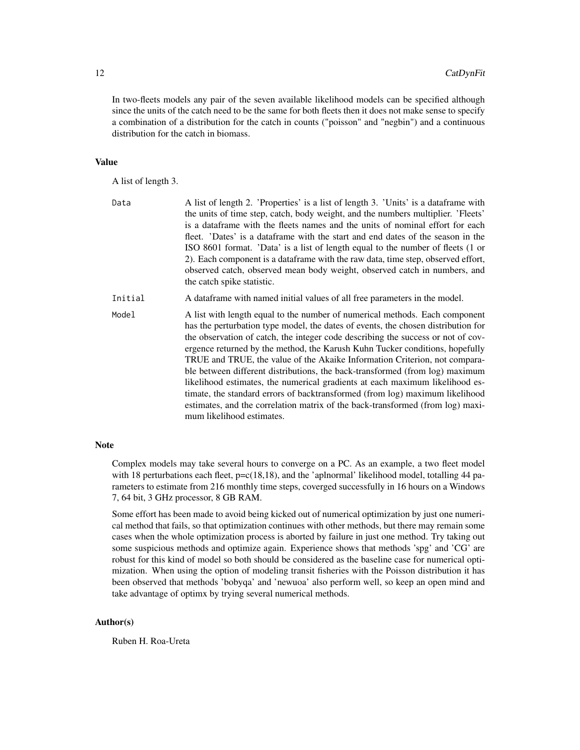In two-fleets models any pair of the seven available likelihood models can be specified although since the units of the catch need to be the same for both fleets then it does not make sense to specify a combination of a distribution for the catch in counts ("poisson" and "negbin") and a continuous distribution for the catch in biomass.

#### Value

A list of length 3.

| Data    | A list of length 2. 'Properties' is a list of length 3. 'Units' is a data frame with<br>the units of time step, catch, body weight, and the numbers multiplier. 'Fleets'<br>is a data frame with the fleets names and the units of nominal effort for each<br>fleet. 'Dates' is a dataframe with the start and end dates of the season in the<br>ISO 8601 format. 'Data' is a list of length equal to the number of fleets (1 or<br>2). Each component is a dataframe with the raw data, time step, observed effort,<br>observed catch, observed mean body weight, observed catch in numbers, and<br>the catch spike statistic.                                                                                                                                                   |
|---------|-----------------------------------------------------------------------------------------------------------------------------------------------------------------------------------------------------------------------------------------------------------------------------------------------------------------------------------------------------------------------------------------------------------------------------------------------------------------------------------------------------------------------------------------------------------------------------------------------------------------------------------------------------------------------------------------------------------------------------------------------------------------------------------|
| Initial | A data frame with named initial values of all free parameters in the model.                                                                                                                                                                                                                                                                                                                                                                                                                                                                                                                                                                                                                                                                                                       |
| Model   | A list with length equal to the number of numerical methods. Each component<br>has the perturbation type model, the dates of events, the chosen distribution for<br>the observation of catch, the integer code describing the success or not of cov-<br>ergence returned by the method, the Karush Kuhn Tucker conditions, hopefully<br>TRUE and TRUE, the value of the Akaike Information Criterion, not compara-<br>ble between different distributions, the back-transformed (from log) maximum<br>likelihood estimates, the numerical gradients at each maximum likelihood es-<br>timate, the standard errors of backtransformed (from log) maximum likelihood<br>estimates, and the correlation matrix of the back-transformed (from log) maxi-<br>mum likelihood estimates. |

# Note

Complex models may take several hours to converge on a PC. As an example, a two fleet model with 18 perturbations each fleet,  $p=c(18,18)$ , and the 'aplnormal' likelihood model, totalling 44 parameters to estimate from 216 monthly time steps, coverged successfully in 16 hours on a Windows 7, 64 bit, 3 GHz processor, 8 GB RAM.

Some effort has been made to avoid being kicked out of numerical optimization by just one numerical method that fails, so that optimization continues with other methods, but there may remain some cases when the whole optimization process is aborted by failure in just one method. Try taking out some suspicious methods and optimize again. Experience shows that methods 'spg' and 'CG' are robust for this kind of model so both should be considered as the baseline case for numerical optimization. When using the option of modeling transit fisheries with the Poisson distribution it has been observed that methods 'bobyqa' and 'newuoa' also perform well, so keep an open mind and take advantage of optimx by trying several numerical methods.

# Author(s)

Ruben H. Roa-Ureta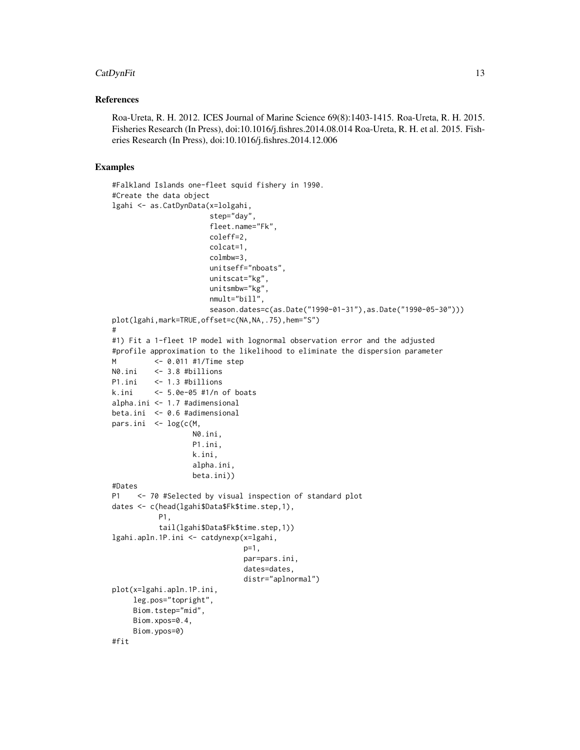# CatDynFit 13

# References

Roa-Ureta, R. H. 2012. ICES Journal of Marine Science 69(8):1403-1415. Roa-Ureta, R. H. 2015. Fisheries Research (In Press), doi:10.1016/j.fishres.2014.08.014 Roa-Ureta, R. H. et al. 2015. Fisheries Research (In Press), doi:10.1016/j.fishres.2014.12.006

## Examples

```
#Falkland Islands one-fleet squid fishery in 1990.
#Create the data object
lgahi <- as.CatDynData(x=lolgahi,
                       step="day",
                       fleet.name="Fk",
                      coleff=2,
                      colcat=1,
                       colmbw=3,
                      unitseff="nboats",
                      unitscat="kg",
                      unitsmbw="kg",
                       nmult="bill",
                       season.dates=c(as.Date("1990-01-31"),as.Date("1990-05-30")))
plot(lgahi,mark=TRUE,offset=c(NA,NA,.75),hem="S")
#
#1) Fit a 1-fleet 1P model with lognormal observation error and the adjusted
#profile approximation to the likelihood to eliminate the dispersion parameter
M <- 0.011 #1/Time step
N0.ini <- 3.8 #billions
P1.ini <- 1.3 #billions
k.ini <- 5.0e-05 #1/n of boats
alpha.ini <- 1.7 #adimensional
beta.ini <- 0.6 #adimensional
pars.ini <- log(c(M,
                   N0.ini,
                   P1.ini,
                   k.ini,
                   alpha.ini,
                  beta.ini))
#Dates
P1 <- 70 #Selected by visual inspection of standard plot
dates <- c(head(lgahi$Data$Fk$time.step,1),
           P1,
           tail(lgahi$Data$Fk$time.step,1))
lgahi.apln.1P.ini <- catdynexp(x=lgahi,
                               p=1,
                               par=pars.ini,
                               dates=dates,
                               distr="aplnormal")
plot(x=lgahi.apln.1P.ini,
     leg.pos="topright",
     Biom.tstep="mid",
     Biom.xpos=0.4,
     Biom.ypos=0)
#fit
```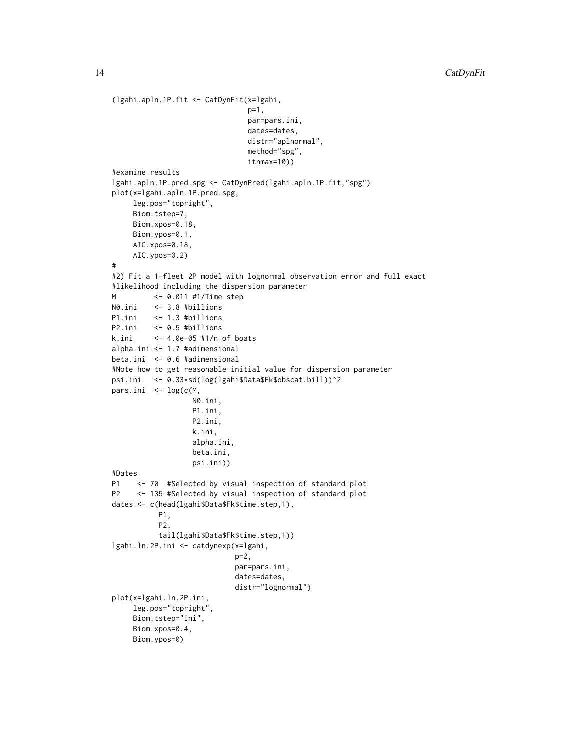```
(lgahi.apln.1P.fit <- CatDynFit(x=lgahi,
                                p=1,
                                par=pars.ini,
                                dates=dates,
                               distr="aplnormal",
                               method="spg",
                                itnmax=10))
#examine results
lgahi.apln.1P.pred.spg <- CatDynPred(lgahi.apln.1P.fit,"spg")
plot(x=lgahi.apln.1P.pred.spg,
     leg.pos="topright",
     Biom.tstep=7,
     Biom.xpos=0.18,
     Biom.ypos=0.1,
     AIC.xpos=0.18,
    AIC.ypos=0.2)
#
#2) Fit a 1-fleet 2P model with lognormal observation error and full exact
#likelihood including the dispersion parameter
M <- 0.011 #1/Time step
N0.ini <- 3.8 #billions
P1.ini <- 1.3 #billions
P2.ini <- 0.5 #billions
k.ini <- 4.0e-05 #1/n of boats
alpha.ini <- 1.7 #adimensional
beta.ini <- 0.6 #adimensional
#Note how to get reasonable initial value for dispersion parameter
psi.ini <- 0.33*sd(log(lgahi$Data$Fk$obscat.bill))^2
pars.ini <- log(c(M,
                  N0.ini,
                   P1.ini,
                   P2.ini,
                   k.ini,
                   alpha.ini,
                   beta.ini,
                   psi.ini))
#Dates
P1 <- 70 #Selected by visual inspection of standard plot
P2 <- 135 #Selected by visual inspection of standard plot
dates <- c(head(lgahi$Data$Fk$time.step,1),
           P1,
           P2,
           tail(lgahi$Data$Fk$time.step,1))
lgahi.ln.2P.ini <- catdynexp(x=lgahi,
                            p=2,
                            par=pars.ini,
                            dates=dates,
                            distr="lognormal")
plot(x=lgahi.ln.2P.ini,
     leg.pos="topright",
     Biom.tstep="ini",
     Biom.xpos=0.4,
     Biom.ypos=0)
```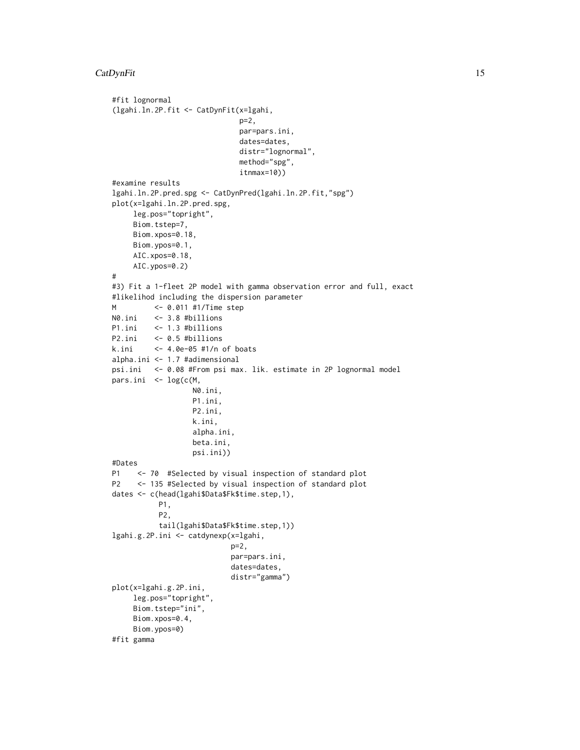# CatDynFit 15

```
#fit lognormal
(lgahi.ln.2P.fit <- CatDynFit(x=lgahi,
                             p=2,
                             par=pars.ini,
                              dates=dates,
                              distr="lognormal",
                              method="spg",
                              itnmax=10))
#examine results
lgahi.ln.2P.pred.spg <- CatDynPred(lgahi.ln.2P.fit,"spg")
plot(x=lgahi.ln.2P.pred.spg,
     leg.pos="topright",
     Biom.tstep=7,
     Biom.xpos=0.18,
     Biom.ypos=0.1,
     AIC.xpos=0.18,
    AIC.ypos=0.2)
#
#3) Fit a 1-fleet 2P model with gamma observation error and full, exact
#likelihod including the dispersion parameter
M <- 0.011 #1/Time step
N0.ini <- 3.8 #billions
P1.ini <- 1.3 #billions
P2.ini <- 0.5 #billions
k.ini <- 4.0e-05 #1/n of boats
alpha.ini <- 1.7 #adimensional
psi.ini <- 0.08 #From psi max. lik. estimate in 2P lognormal model
pars.ini <- log(c(M,
                  N0.ini,
                   P1.ini,
                  P2.ini,
                  k.ini,
                   alpha.ini,
                   beta.ini,
                  psi.ini))
#Dates
P1 <- 70 #Selected by visual inspection of standard plot
P2 <- 135 #Selected by visual inspection of standard plot
dates <- c(head(lgahi$Data$Fk$time.step,1),
           P1,
           P2,
           tail(lgahi$Data$Fk$time.step,1))
lgahi.g.2P.ini <- catdynexp(x=lgahi,
                            p=2,
                            par=pars.ini,
                            dates=dates,
                            distr="gamma")
plot(x=lgahi.g.2P.ini,
     leg.pos="topright",
     Biom.tstep="ini",
     Biom.xpos=0.4,
     Biom.ypos=0)
#fit gamma
```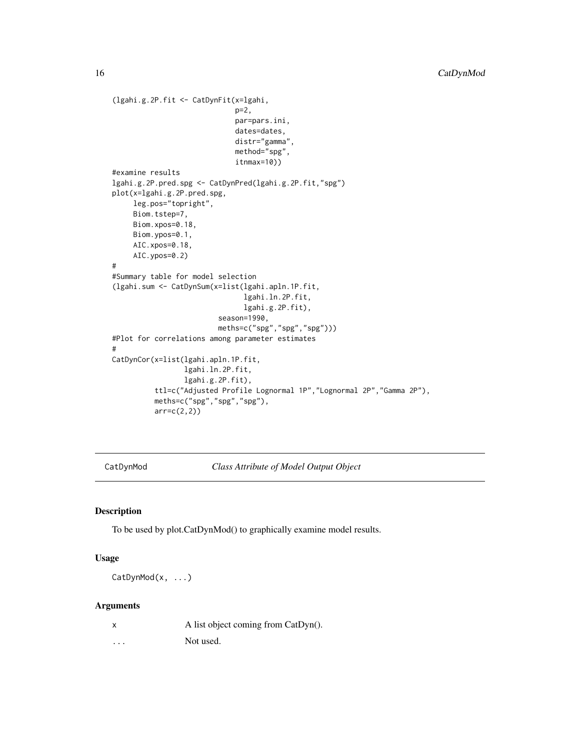```
(lgahi.g.2P.fit <- CatDynFit(x=lgahi,
                             p=2,
                             par=pars.ini,
                             dates=dates,
                             distr="gamma",
                             method="spg",
                             itnmax=10))
#examine results
lgahi.g.2P.pred.spg <- CatDynPred(lgahi.g.2P.fit,"spg")
plot(x=lgahi.g.2P.pred.spg,
     leg.pos="topright",
    Biom.tstep=7,
    Biom.xpos=0.18,
    Biom.ypos=0.1,
    AIC.xpos=0.18,
    AIC.ypos=0.2)
#
#Summary table for model selection
(lgahi.sum <- CatDynSum(x=list(lgahi.apln.1P.fit,
                               lgahi.ln.2P.fit,
                               lgahi.g.2P.fit),
                         season=1990,
                         meths=c("spg","spg","spg")))
#Plot for correlations among parameter estimates
#
CatDynCor(x=list(lgahi.apln.1P.fit,
                 lgahi.ln.2P.fit,
                 lgahi.g.2P.fit),
          ttl=c("Adjusted Profile Lognormal 1P","Lognormal 2P","Gamma 2P"),
         meths=c("spg","spg","spg"),
          arr=c(2,2))
```
CatDynMod *Class Attribute of Model Output Object*

# Description

To be used by plot.CatDynMod() to graphically examine model results.

#### Usage

CatDynMod(x, ...)

# Arguments

... Not used.

<span id="page-15-0"></span>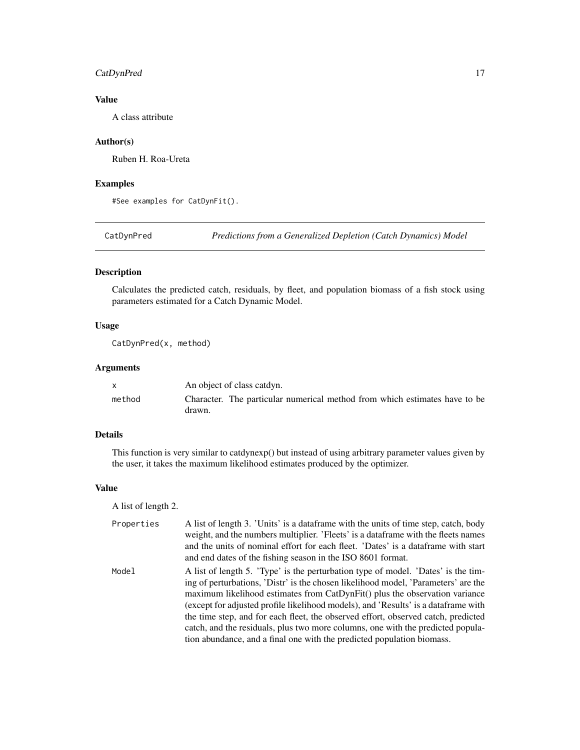# <span id="page-16-0"></span>CatDynPred 17

# Value

A class attribute

# Author(s)

Ruben H. Roa-Ureta

# Examples

#See examples for CatDynFit().

CatDynPred *Predictions from a Generalized Depletion (Catch Dynamics) Model*

# Description

Calculates the predicted catch, residuals, by fleet, and population biomass of a fish stock using parameters estimated for a Catch Dynamic Model.

# Usage

CatDynPred(x, method)

# Arguments

|        | An object of class catdyn.                                                           |
|--------|--------------------------------------------------------------------------------------|
| method | Character. The particular numerical method from which estimates have to be<br>drawn. |

#### Details

This function is very similar to catdynexp() but instead of using arbitrary parameter values given by the user, it takes the maximum likelihood estimates produced by the optimizer.

#### Value

A list of length 2.

| Properties | A list of length 3. 'Units' is a data frame with the units of time step, catch, body<br>weight, and the numbers multiplier. 'Fleets' is a dataframe with the fleets names<br>and the units of nominal effort for each fleet. 'Dates' is a dataframe with start |
|------------|----------------------------------------------------------------------------------------------------------------------------------------------------------------------------------------------------------------------------------------------------------------|
|            | and end dates of the fishing season in the ISO 8601 format.                                                                                                                                                                                                    |
| Model      | A list of length 5. 'Type' is the perturbation type of model. 'Dates' is the tim-                                                                                                                                                                              |
|            | ing of perturbations, 'Distr' is the chosen likelihood model, 'Parameters' are the                                                                                                                                                                             |
|            | maximum likelihood estimates from CatDynFit() plus the observation variance                                                                                                                                                                                    |
|            | (except for adjusted profile likelihood models), and 'Results' is a dataframe with                                                                                                                                                                             |
|            | the time step, and for each fleet, the observed effort, observed catch, predicted                                                                                                                                                                              |
|            | catch, and the residuals, plus two more columns, one with the predicted popula-                                                                                                                                                                                |

tion abundance, and a final one with the predicted population biomass.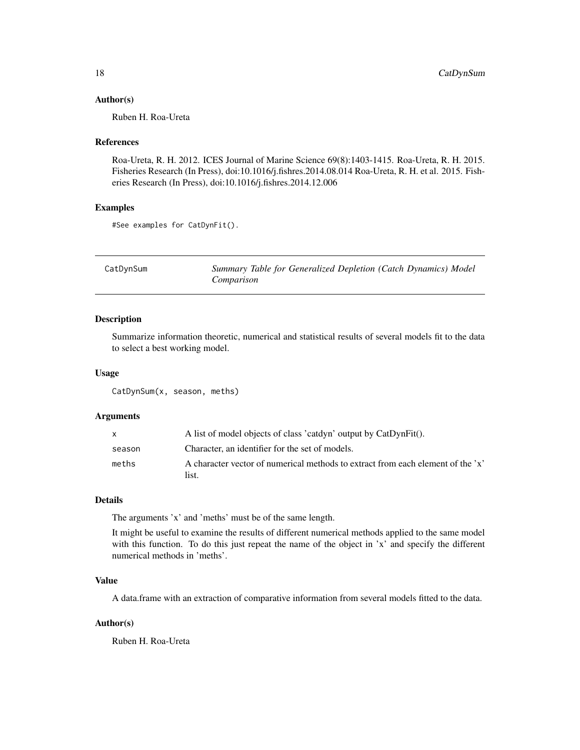#### <span id="page-17-0"></span>Author(s)

Ruben H. Roa-Ureta

#### References

Roa-Ureta, R. H. 2012. ICES Journal of Marine Science 69(8):1403-1415. Roa-Ureta, R. H. 2015. Fisheries Research (In Press), doi:10.1016/j.fishres.2014.08.014 Roa-Ureta, R. H. et al. 2015. Fisheries Research (In Press), doi:10.1016/j.fishres.2014.12.006

# Examples

#See examples for CatDynFit().

| CatDynSum | Summary Table for Generalized Depletion (Catch Dynamics) Model |
|-----------|----------------------------------------------------------------|
|           | Comparison                                                     |

#### Description

Summarize information theoretic, numerical and statistical results of several models fit to the data to select a best working model.

#### Usage

CatDynSum(x, season, meths)

# Arguments

|        | A list of model objects of class 'catdyn' output by CatDynFit().                         |
|--------|------------------------------------------------------------------------------------------|
| season | Character, an identifier for the set of models.                                          |
| meths  | A character vector of numerical methods to extract from each element of the 'x'<br>list. |

#### Details

The arguments 'x' and 'meths' must be of the same length.

It might be useful to examine the results of different numerical methods applied to the same model with this function. To do this just repeat the name of the object in 'x' and specify the different numerical methods in 'meths'.

# Value

A data.frame with an extraction of comparative information from several models fitted to the data.

#### Author(s)

Ruben H. Roa-Ureta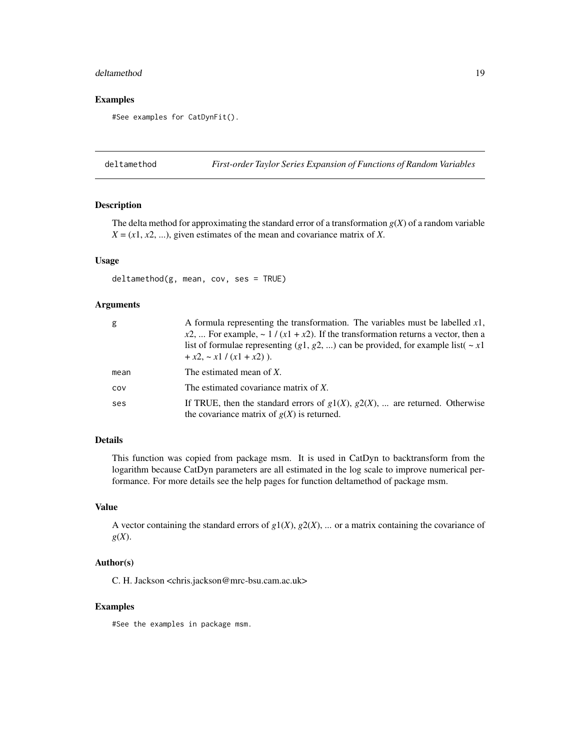#### <span id="page-18-0"></span>deltamethod and the set of the set of the set of the set of the set of the set of the set of the set of the set of the set of the set of the set of the set of the set of the set of the set of the set of the set of the set

# Examples

#See examples for CatDynFit().

deltamethod *First-order Taylor Series Expansion of Functions of Random Variables*

#### Description

The delta method for approximating the standard error of a transformation  $g(X)$  of a random variable  $X = (x1, x2, \ldots)$ , given estimates of the mean and covariance matrix of *X*.

# Usage

```
deltamethod(g, mean, cov, ses = TRUE)
```
#### Arguments

| g    | A formula representing the transformation. The variables must be labelled $x1$ ,                                                  |
|------|-----------------------------------------------------------------------------------------------------------------------------------|
|      | $x2$ ,  For example, ~ 1 / (x1 + x2). If the transformation returns a vector, then a                                              |
|      | list of formulae representing (g1, g2, ) can be provided, for example list( $\sim x1$                                             |
|      | $+x2, -x1/(x1 + x2)$ ).                                                                                                           |
| mean | The estimated mean of X.                                                                                                          |
| COV  | The estimated covariance matrix of $X$ .                                                                                          |
| ses  | If TRUE, then the standard errors of $g1(X)$ , $g2(X)$ ,  are returned. Otherwise<br>the covariance matrix of $g(X)$ is returned. |

#### Details

This function was copied from package msm. It is used in CatDyn to backtransform from the logarithm because CatDyn parameters are all estimated in the log scale to improve numerical performance. For more details see the help pages for function deltamethod of package msm.

# Value

A vector containing the standard errors of  $g1(X)$ ,  $g2(X)$ , ... or a matrix containing the covariance of *g*(*X*).

#### Author(s)

C. H. Jackson <chris.jackson@mrc-bsu.cam.ac.uk>

# Examples

#See the examples in package msm.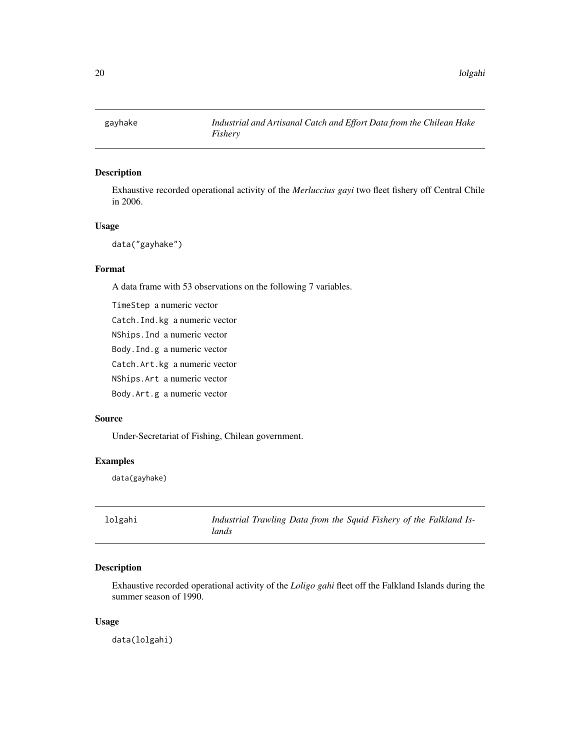<span id="page-19-0"></span>

# Description

Exhaustive recorded operational activity of the *Merluccius gayi* two fleet fishery off Central Chile in 2006.

# Usage

data("gayhake")

# Format

A data frame with 53 observations on the following 7 variables.

TimeStep a numeric vector Catch.Ind.kg a numeric vector NShips.Ind a numeric vector Body.Ind.g a numeric vector Catch.Art.kg a numeric vector NShips.Art a numeric vector

Body.Art.g a numeric vector

# Source

Under-Secretariat of Fishing, Chilean government.

# Examples

data(gayhake)

| lolgahi | Industrial Trawling Data from the Squid Fishery of the Falkland Is- |
|---------|---------------------------------------------------------------------|
|         | lands                                                               |

# Description

Exhaustive recorded operational activity of the *Loligo gahi* fleet off the Falkland Islands during the summer season of 1990.

#### Usage

data(lolgahi)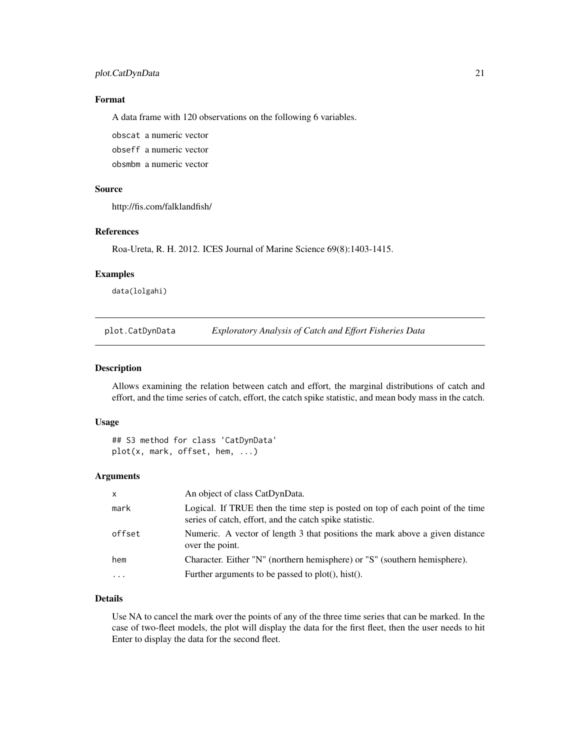# <span id="page-20-0"></span>plot.CatDynData 21

# Format

A data frame with 120 observations on the following 6 variables.

obscat a numeric vector obseff a numeric vector

obsmbm a numeric vector

# Source

http://fis.com/falklandfish/

# References

Roa-Ureta, R. H. 2012. ICES Journal of Marine Science 69(8):1403-1415.

#### Examples

data(lolgahi)

plot.CatDynData *Exploratory Analysis of Catch and Effort Fisheries Data*

#### Description

Allows examining the relation between catch and effort, the marginal distributions of catch and effort, and the time series of catch, effort, the catch spike statistic, and mean body mass in the catch.

# Usage

```
## S3 method for class 'CatDynData'
plot(x, mark, offset, hem, ...)
```
#### Arguments

| $\mathsf{x}$ | An object of class CatDynData.                                                                                                            |
|--------------|-------------------------------------------------------------------------------------------------------------------------------------------|
| mark         | Logical. If TRUE then the time step is posted on top of each point of the time<br>series of catch, effort, and the catch spike statistic. |
| offset       | Numeric. A vector of length 3 that positions the mark above a given distance<br>over the point.                                           |
| hem          | Character. Either "N" (northern hemisphere) or "S" (southern hemisphere).                                                                 |
| $\cdots$     | Further arguments to be passed to plot(), hist().                                                                                         |
|              |                                                                                                                                           |

# Details

Use NA to cancel the mark over the points of any of the three time series that can be marked. In the case of two-fleet models, the plot will display the data for the first fleet, then the user needs to hit Enter to display the data for the second fleet.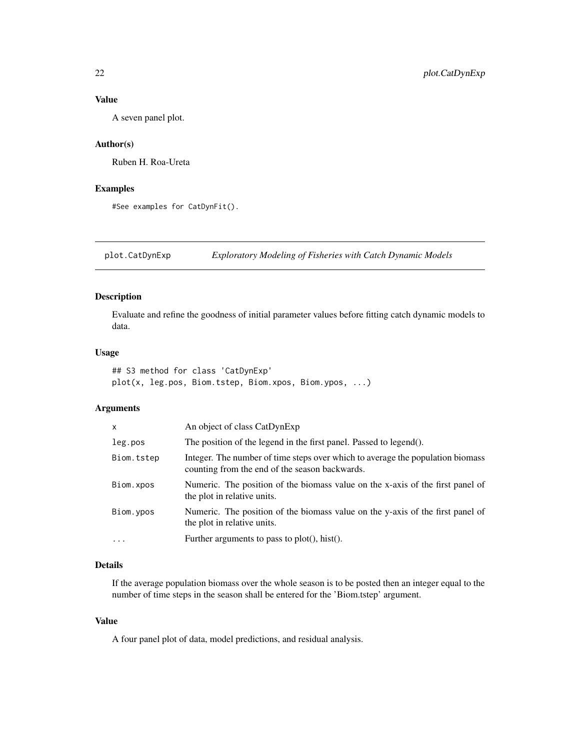# <span id="page-21-0"></span>Value

A seven panel plot.

## Author(s)

Ruben H. Roa-Ureta

# Examples

#See examples for CatDynFit().

plot.CatDynExp *Exploratory Modeling of Fisheries with Catch Dynamic Models*

# Description

Evaluate and refine the goodness of initial parameter values before fitting catch dynamic models to data.

#### Usage

```
## S3 method for class 'CatDynExp'
plot(x, leg.pos, Biom.tstep, Biom.xpos, Biom.ypos, ...)
```
# Arguments

| x          | An object of class CatDynExp                                                                                                     |
|------------|----------------------------------------------------------------------------------------------------------------------------------|
| leg.pos    | The position of the legend in the first panel. Passed to legend().                                                               |
| Biom.tstep | Integer. The number of time steps over which to average the population biomass<br>counting from the end of the season backwards. |
| Biom.xpos  | Numeric. The position of the biomass value on the x-axis of the first panel of<br>the plot in relative units.                    |
| Biom.ypos  | Numeric. The position of the biomass value on the y-axis of the first panel of<br>the plot in relative units.                    |
| $\cdots$   | Further arguments to pass to $plot(), hist().$                                                                                   |

# Details

If the average population biomass over the whole season is to be posted then an integer equal to the number of time steps in the season shall be entered for the 'Biom.tstep' argument.

# Value

A four panel plot of data, model predictions, and residual analysis.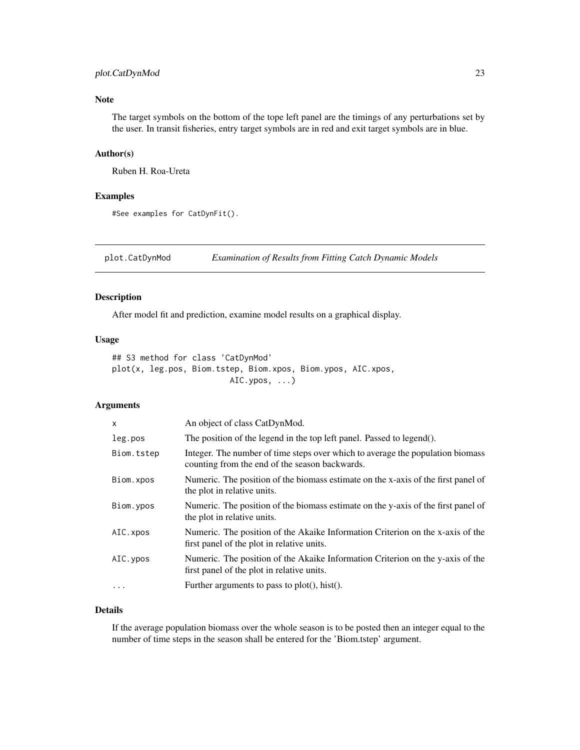# <span id="page-22-0"></span>plot.CatDynMod 23

# Note

The target symbols on the bottom of the tope left panel are the timings of any perturbations set by the user. In transit fisheries, entry target symbols are in red and exit target symbols are in blue.

#### Author(s)

Ruben H. Roa-Ureta

#### Examples

```
#See examples for CatDynFit().
```
plot.CatDynMod *Examination of Results from Fitting Catch Dynamic Models*

# Description

After model fit and prediction, examine model results on a graphical display.

#### Usage

```
## S3 method for class 'CatDynMod'
plot(x, leg.pos, Biom.tstep, Biom.xpos, Biom.ypos, AIC.xpos,
                         AIC.ypos, ...)
```
# Arguments

| X          | An object of class CatDynMod.                                                                                                    |
|------------|----------------------------------------------------------------------------------------------------------------------------------|
| leg.pos    | The position of the legend in the top left panel. Passed to legend().                                                            |
| Biom.tstep | Integer. The number of time steps over which to average the population biomass<br>counting from the end of the season backwards. |
| Biom.xpos  | Numeric. The position of the biomass estimate on the x-axis of the first panel of<br>the plot in relative units.                 |
| Biom.ypos  | Numeric. The position of the biomass estimate on the y-axis of the first panel of<br>the plot in relative units.                 |
| AIC. xpos  | Numeric. The position of the Akaike Information Criterion on the x-axis of the<br>first panel of the plot in relative units.     |
| AIC. ypos  | Numeric. The position of the Akaike Information Criterion on the y-axis of the<br>first panel of the plot in relative units.     |
|            | Further arguments to pass to plot(), hist().                                                                                     |
|            |                                                                                                                                  |

# Details

If the average population biomass over the whole season is to be posted then an integer equal to the number of time steps in the season shall be entered for the 'Biom.tstep' argument.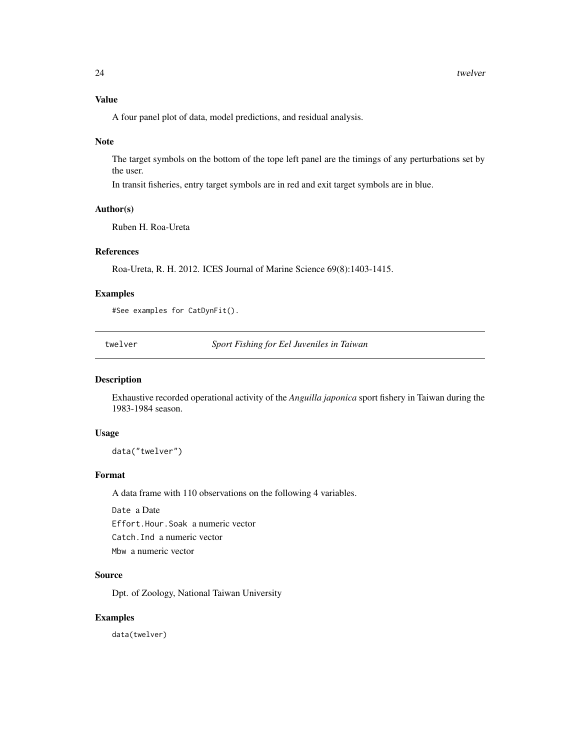# <span id="page-23-0"></span>Value

A four panel plot of data, model predictions, and residual analysis.

#### Note

The target symbols on the bottom of the tope left panel are the timings of any perturbations set by the user.

In transit fisheries, entry target symbols are in red and exit target symbols are in blue.

# Author(s)

Ruben H. Roa-Ureta

# References

Roa-Ureta, R. H. 2012. ICES Journal of Marine Science 69(8):1403-1415.

#### Examples

#See examples for CatDynFit().

twelver *Sport Fishing for Eel Juveniles in Taiwan*

#### Description

Exhaustive recorded operational activity of the *Anguilla japonica* sport fishery in Taiwan during the 1983-1984 season.

# Usage

data("twelver")

# Format

A data frame with 110 observations on the following 4 variables.

Date a Date Effort.Hour.Soak a numeric vector Catch.Ind a numeric vector Mbw a numeric vector

#### Source

Dpt. of Zoology, National Taiwan University

#### Examples

data(twelver)